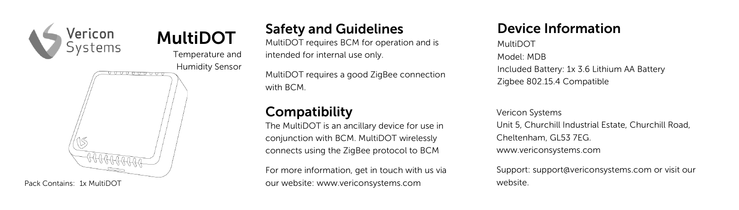

Safety and Guidelines MultiDOT requires BCM for operation and is intended for internal use only.

MultiDOT requires a good ZigBee connection with BCM.

## **Compatibility**

The MultiDOT is an ancillary device for use in conjunction with BCM. MultiDOT wirelessly connects using the ZigBee protocol to BCM

For more information, get in touch with us via our website: www.vericonsystems.com

# Device Information

MultiDOT Model: MDB Included Battery: 1x 3.6 Lithium AA Battery Zigbee 802.15.4 Compatible

Vericon Systems Unit 5, Churchill Industrial Estate, Churchill Road, Cheltenham, GL53 7EG. www.vericonsystems.com

Support: support@vericonsystems.com or visit our website.